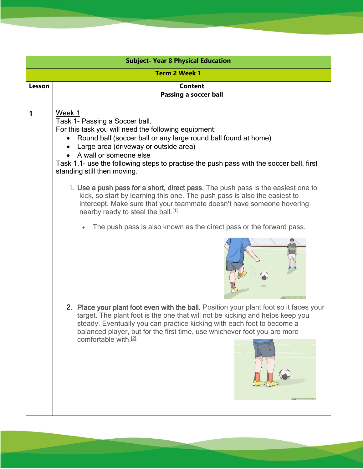| <b>Subject- Year 8 Physical Education</b> |                                                                                                                                                                                                                                                                                                                                                                   |
|-------------------------------------------|-------------------------------------------------------------------------------------------------------------------------------------------------------------------------------------------------------------------------------------------------------------------------------------------------------------------------------------------------------------------|
| <b>Term 2 Week 1</b>                      |                                                                                                                                                                                                                                                                                                                                                                   |
| Lesson                                    | <b>Content</b><br><b>Passing a soccer ball</b>                                                                                                                                                                                                                                                                                                                    |
| 1                                         | Week 1<br>Task 1- Passing a Soccer ball.<br>For this task you will need the following equipment:<br>Round ball (soccer ball or any large round ball found at home)<br>Large area (driveway or outside area)<br>A wall or someone else<br>Task 1.1- use the following steps to practise the push pass with the soccer ball, first<br>standing still then moving.   |
|                                           | 1. Use a push pass for a short, direct pass. The push pass is the easiest one to<br>kick, so start by learning this one. The push pass is also the easiest to<br>intercept. Make sure that your teammate doesn't have someone hovering<br>nearby ready to steal the ball. <sup>[1]</sup>                                                                          |
|                                           | The push pass is also known as the direct pass or the forward pass.                                                                                                                                                                                                                                                                                               |
|                                           |                                                                                                                                                                                                                                                                                                                                                                   |
|                                           | 2. Place your plant foot even with the ball. Position your plant foot so it faces your<br>target. The plant foot is the one that will not be kicking and helps keep you<br>steady. Eventually you can practice kicking with each foot to become a<br>balanced player, but for the first time, use whichever foot you are more<br>comfortable with. <sup>[2]</sup> |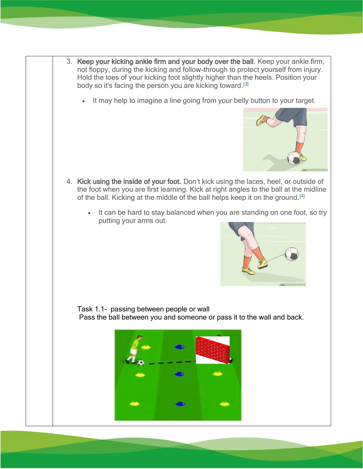- 3. Keep your kicking ankle firm and your body over the ball. Keep your ankle firm, not floppy, during the kicking and follow-through to protect yourself from injury. Hold the toes of your kicking foot slightly higher than the heels. Position your body so it's facing the person you are kicking toward.[\[3\]](https://www.wikihow.com/Pass-a-Soccer-Ball#_note-3)
	- It may help to imagine a line going from your belly button to your target.



- 4. Kick using the inside of your foot. Don't kick using the laces, heel, or outside of the foot when you are first learning. Kick at right angles to the ball at the midline of the ball. Kicking at the middle of the ball helps keep it on the ground.<sup>[\[4\]](https://www.wikihow.com/Pass-a-Soccer-Ball#_note-4)</sup>
	- It can be hard to stay balanced when you are standing on one foot, so try putting your arms out.



Task 1.1- passing between people or wall Pass the ball between you and someone or pass it to the wall and back.